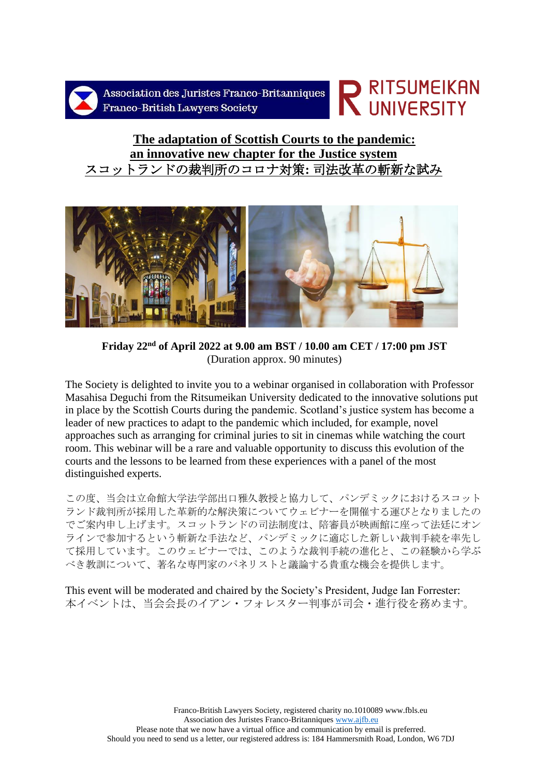

Association des Juristes Franco-Britanniques Franco-British Lawvers Society

# **NESTANERS AND READ ENDERENT STATES**  $\overline{\phantom{a}}$

# **The adaptation of Scottish Courts to the pandemic: an innovative new chapter for the Justice system** スコットランドの裁判所のコロナ対策**:** 司法改革の斬新な試み



**Friday 22nd of April 2022 at 9.00 am BST / 10.00 am CET / 17:00 pm JST** (Duration approx. 90 minutes)

The Society is delighted to invite you to a webinar organised in collaboration with Professor Masahisa Deguchi from the Ritsumeikan University dedicated to the innovative solutions put in place by the Scottish Courts during the pandemic. Scotland's justice system has become a leader of new practices to adapt to the pandemic which included, for example, novel approaches such as arranging for criminal juries to sit in cinemas while watching the court room. This webinar will be a rare and valuable opportunity to discuss this evolution of the courts and the lessons to be learned from these experiences with a panel of the most distinguished experts.

この度、当会は立命館大学法学部出口雅久教授と協力して、パンデミックにおけるスコット ランド裁判所が採用した革新的な解決策についてウェビナーを開催する運びとなりましたの でご案内申し上げます。スコットランドの司法制度は、陪審員が映画館に座って法廷にオン ラインで参加するという斬新な手法など、パンデミックに適応した新しい裁判手続を率先し て採用しています。このウェビナーでは、このような裁判手続の進化と、この経験から学ぶ べき教訓について、著名な専門家のパネリストと議論する貴重な機会を提供します。

This event will be moderated and chaired by the Society's President, Judge Ian Forrester: 本イベントは、当会会長のイアン・フォレスター判事が司会・進行役を務めます。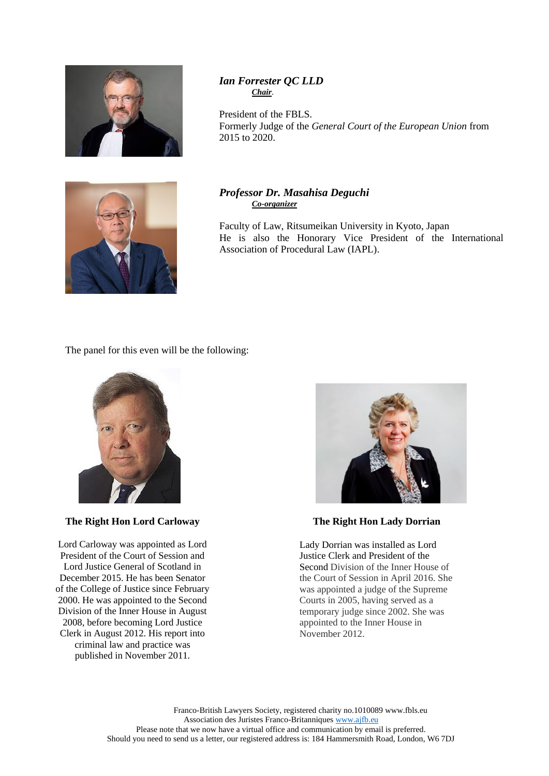

# *Ian Forrester QC LLD Chair*.

President of the FBLS. Formerly Judge of the *General Court of the European Union* from 2015 to 2020.



# *Professor Dr. Masahisa Deguchi Co-organizer*

Faculty of Law, Ritsumeikan University in Kyoto, Japan He is also the Honorary Vice President of the International Association of Procedural Law (IAPL).

The panel for this even will be the following:



# **The Right Hon Lord Carloway**

Lord Carloway was appointed as Lord President of the Court of Session and Lord Justice General of Scotland in December 2015. He has been Senator of the College of Justice since February 2000. He was appointed to the Second Division of the Inner House in August 2008, before becoming Lord Justice Clerk in August 2012. His report into criminal law and practice was published in November 2011.



**The Right Hon Lady Dorrian**

Lady Dorrian was installed as Lord Justice Clerk and President of the Second Division of the Inner House of the Court of Session in April 2016. She was appointed a judge of the Supreme Courts in 2005, having served as a temporary judge since 2002. She was appointed to the Inner House in November 2012.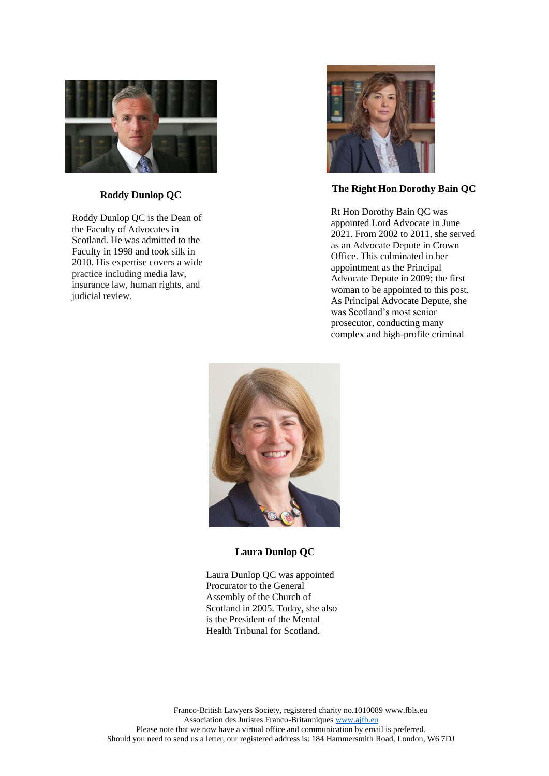

#### **, click on the following [link.](about:blank) Roddy Dunlop QC**

Roddy Dunlop QC is the Dean of the Faculty of Advocates in Scotland. He was admitted to the Faculty in 1998 and took silk in 2010. His expertise covers a wide practice including media law, insurance law, human rights, and judicial review.



#### **The Right Hon Dorothy Bain QC**

Rt Hon Dorothy Bain QC was appointed Lord Advocate in June 2021. From 2002 to 2011, she served as an Advocate Depute in Crown Office. This culminated in her appointment as the Principal Advocate Depute in 2009; the first woman to be appointed to this post. As Principal Advocate Depute, she was Scotland's most senior prosecutor, conducting many complex and high-profile criminal



#### **Laura Dunlop QC**

Laura Dunlop QC was appointed Procurator to the General Assembly of the Church of Scotland in 2005. Today, she also is the President of the Mental Health Tribunal for Scotland.